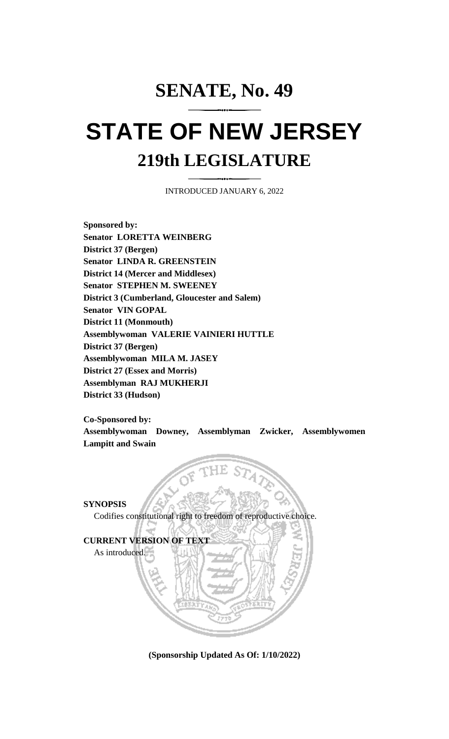## **SENATE, No. 49**

## **STATE OF NEW JERSEY 219th LEGISLATURE**

INTRODUCED JANUARY 6, 2022

**Sponsored by: Senator LORETTA WEINBERG District 37 (Bergen) Senator LINDA R. GREENSTEIN District 14 (Mercer and Middlesex) Senator STEPHEN M. SWEENEY District 3 (Cumberland, Gloucester and Salem) Senator VIN GOPAL District 11 (Monmouth) Assemblywoman VALERIE VAINIERI HUTTLE District 37 (Bergen) Assemblywoman MILA M. JASEY District 27 (Essex and Morris) Assemblyman RAJ MUKHERJI District 33 (Hudson)**

**Co-Sponsored by: Assemblywoman Downey, Assemblyman Zwicker, Assemblywomen Lampitt and Swain**

**SYNOPSIS**

Codifies constitutional right to freedom of reproductive choice.



**(Sponsorship Updated As Of: 1/10/2022)**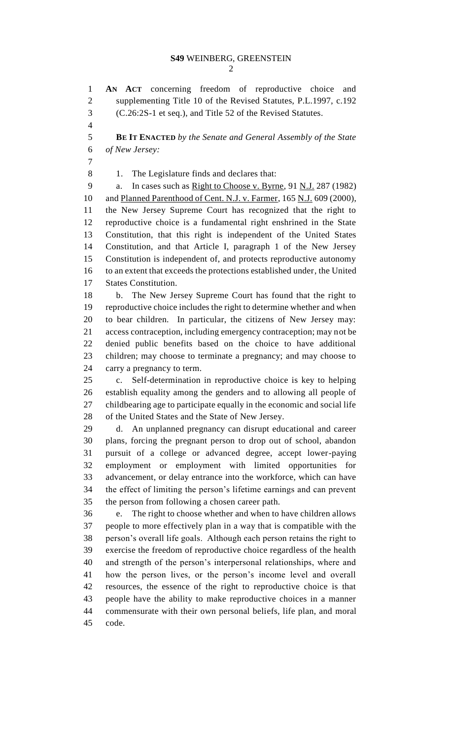**AN ACT** concerning freedom of reproductive choice and supplementing Title 10 of the Revised Statutes, P.L.1997, c.192 (C.26:2S-1 et seq.), and Title 52 of the Revised Statutes. **BE IT ENACTED** *by the Senate and General Assembly of the State of New Jersey:* 8 1. The Legislature finds and declares that: 9 a. In cases such as <u>Right to Choose v. Byrne</u>, 91 N.J. 287 (1982) 10 and Planned Parenthood of Cent. N.J. v. Farmer, 165 N.J. 609 (2000), the New Jersey Supreme Court has recognized that the right to reproductive choice is a fundamental right enshrined in the State Constitution, that this right is independent of the United States Constitution, and that Article I, paragraph 1 of the New Jersey Constitution is independent of, and protects reproductive autonomy to an extent that exceeds the protections established under, the United States Constitution. b. The New Jersey Supreme Court has found that the right to reproductive choice includes the right to determine whether and when to bear children. In particular, the citizens of New Jersey may: access contraception, including emergency contraception; may not be denied public benefits based on the choice to have additional children; may choose to terminate a pregnancy; and may choose to carry a pregnancy to term. c. Self-determination in reproductive choice is key to helping establish equality among the genders and to allowing all people of childbearing age to participate equally in the economic and social life of the United States and the State of New Jersey. d. An unplanned pregnancy can disrupt educational and career plans, forcing the pregnant person to drop out of school, abandon pursuit of a college or advanced degree, accept lower-paying employment or employment with limited opportunities for advancement, or delay entrance into the workforce, which can have the effect of limiting the person's lifetime earnings and can prevent the person from following a chosen career path. e. The right to choose whether and when to have children allows people to more effectively plan in a way that is compatible with the person's overall life goals. Although each person retains the right to exercise the freedom of reproductive choice regardless of the health and strength of the person's interpersonal relationships, where and how the person lives, or the person's income level and overall resources, the essence of the right to reproductive choice is that people have the ability to make reproductive choices in a manner commensurate with their own personal beliefs, life plan, and moral code.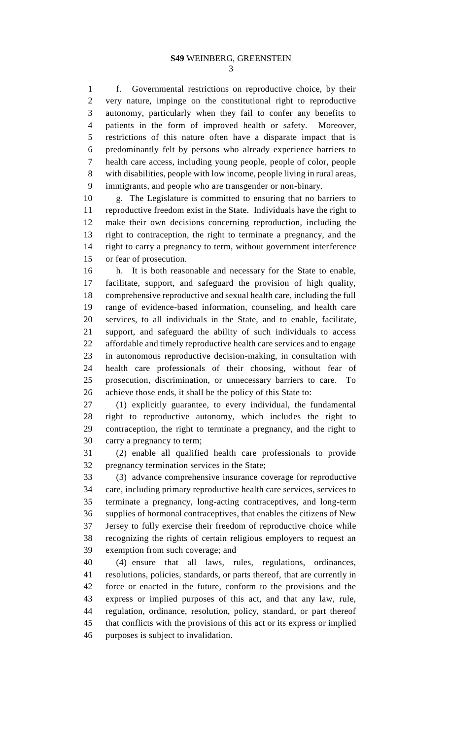f. Governmental restrictions on reproductive choice, by their very nature, impinge on the constitutional right to reproductive autonomy, particularly when they fail to confer any benefits to patients in the form of improved health or safety. Moreover, restrictions of this nature often have a disparate impact that is predominantly felt by persons who already experience barriers to health care access, including young people, people of color, people with disabilities, people with low income, people living in rural areas, immigrants, and people who are transgender or non-binary.

 g. The Legislature is committed to ensuring that no barriers to reproductive freedom exist in the State. Individuals have the right to make their own decisions concerning reproduction, including the right to contraception, the right to terminate a pregnancy, and the right to carry a pregnancy to term, without government interference or fear of prosecution.

 h. It is both reasonable and necessary for the State to enable, facilitate, support, and safeguard the provision of high quality, comprehensive reproductive and sexual health care, including the full range of evidence-based information, counseling, and health care services, to all individuals in the State, and to enable, facilitate, support, and safeguard the ability of such individuals to access affordable and timely reproductive health care services and to engage in autonomous reproductive decision-making, in consultation with health care professionals of their choosing, without fear of prosecution, discrimination, or unnecessary barriers to care. To achieve those ends, it shall be the policy of this State to:

 (1) explicitly guarantee, to every individual, the fundamental right to reproductive autonomy, which includes the right to contraception, the right to terminate a pregnancy, and the right to carry a pregnancy to term;

 (2) enable all qualified health care professionals to provide pregnancy termination services in the State;

 (3) advance comprehensive insurance coverage for reproductive care, including primary reproductive health care services, services to terminate a pregnancy, long-acting contraceptives, and long-term supplies of hormonal contraceptives, that enables the citizens of New Jersey to fully exercise their freedom of reproductive choice while recognizing the rights of certain religious employers to request an exemption from such coverage; and

 (4) ensure that all laws, rules, regulations, ordinances, resolutions, policies, standards, or parts thereof, that are currently in force or enacted in the future, conform to the provisions and the express or implied purposes of this act, and that any law, rule, regulation, ordinance, resolution, policy, standard, or part thereof that conflicts with the provisions of this act or its express or implied purposes is subject to invalidation.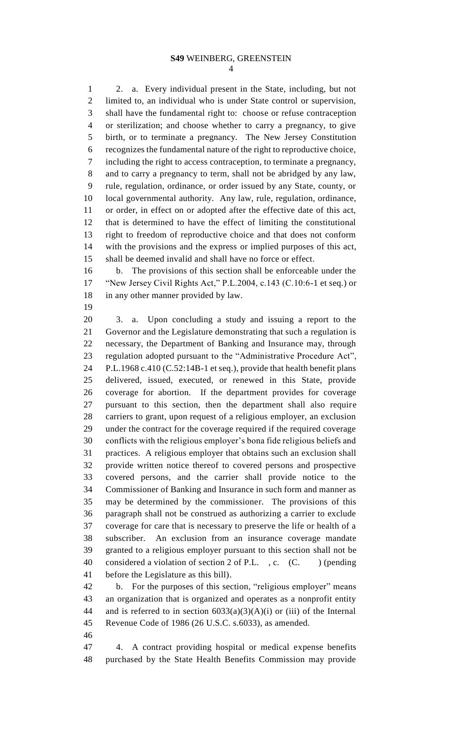2. a. Every individual present in the State, including, but not limited to, an individual who is under State control or supervision, shall have the fundamental right to: choose or refuse contraception or sterilization; and choose whether to carry a pregnancy, to give birth, or to terminate a pregnancy. The New Jersey Constitution recognizes the fundamental nature of the right to reproductive choice, including the right to access contraception, to terminate a pregnancy, and to carry a pregnancy to term, shall not be abridged by any law, rule, regulation, ordinance, or order issued by any State, county, or local governmental authority. Any law, rule, regulation, ordinance, or order, in effect on or adopted after the effective date of this act, that is determined to have the effect of limiting the constitutional right to freedom of reproductive choice and that does not conform with the provisions and the express or implied purposes of this act, shall be deemed invalid and shall have no force or effect.

 b. The provisions of this section shall be enforceable under the "New Jersey Civil Rights Act," P.L.2004, c.143 (C.10:6-1 et seq.) or in any other manner provided by law.

 3. a. Upon concluding a study and issuing a report to the Governor and the Legislature demonstrating that such a regulation is necessary, the Department of Banking and Insurance may, through regulation adopted pursuant to the "Administrative Procedure Act", P.L.1968 c.410 (C.52:14B-1 et seq.), provide that health benefit plans delivered, issued, executed, or renewed in this State, provide coverage for abortion. If the department provides for coverage pursuant to this section, then the department shall also require carriers to grant, upon request of a religious employer, an exclusion under the contract for the coverage required if the required coverage conflicts with the religious employer's bona fide religious beliefs and practices. A religious employer that obtains such an exclusion shall provide written notice thereof to covered persons and prospective covered persons, and the carrier shall provide notice to the Commissioner of Banking and Insurance in such form and manner as may be determined by the commissioner. The provisions of this paragraph shall not be construed as authorizing a carrier to exclude coverage for care that is necessary to preserve the life or health of a subscriber. An exclusion from an insurance coverage mandate granted to a religious employer pursuant to this section shall not be 40 considered a violation of section 2 of P.L., c. (C. ) (pending before the Legislature as this bill).

 b. For the purposes of this section, "religious employer" means an organization that is organized and operates as a nonprofit entity 44 and is referred to in section  $6033(a)(3)(A)(i)$  or (iii) of the Internal Revenue Code of 1986 (26 U.S.C. s.6033), as amended.

 4. A contract providing hospital or medical expense benefits purchased by the State Health Benefits Commission may provide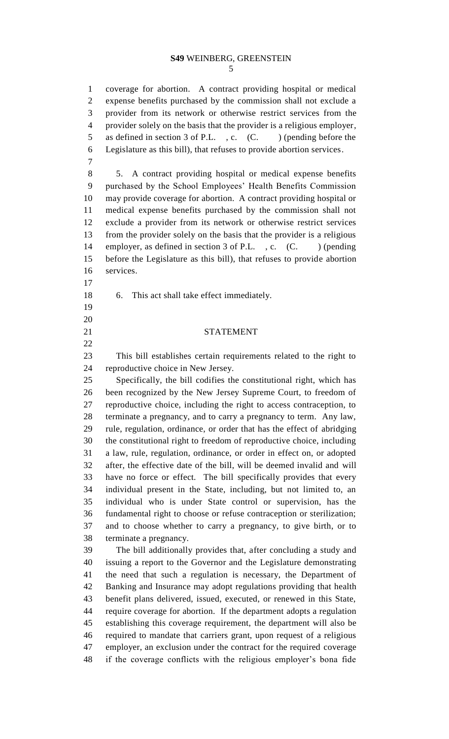## **S49** WEINBERG, GREENSTEIN

 coverage for abortion. A contract providing hospital or medical expense benefits purchased by the commission shall not exclude a provider from its network or otherwise restrict services from the provider solely on the basis that the provider is a religious employer, 5 as defined in section 3 of P.L., c. (C. ) (pending before the Legislature as this bill), that refuses to provide abortion services. 5. A contract providing hospital or medical expense benefits purchased by the School Employees' Health Benefits Commission may provide coverage for abortion. A contract providing hospital or medical expense benefits purchased by the commission shall not exclude a provider from its network or otherwise restrict services from the provider solely on the basis that the provider is a religious 14 employer, as defined in section 3 of P.L., c. (C. ) (pending before the Legislature as this bill), that refuses to provide abortion services. 6. This act shall take effect immediately. STATEMENT This bill establishes certain requirements related to the right to reproductive choice in New Jersey. Specifically, the bill codifies the constitutional right, which has been recognized by the New Jersey Supreme Court, to freedom of reproductive choice, including the right to access contraception, to terminate a pregnancy, and to carry a pregnancy to term. Any law, rule, regulation, ordinance, or order that has the effect of abridging the constitutional right to freedom of reproductive choice, including a law, rule, regulation, ordinance, or order in effect on, or adopted after, the effective date of the bill, will be deemed invalid and will have no force or effect. The bill specifically provides that every individual present in the State, including, but not limited to, an individual who is under State control or supervision, has the fundamental right to choose or refuse contraception or sterilization; and to choose whether to carry a pregnancy, to give birth, or to terminate a pregnancy. The bill additionally provides that, after concluding a study and issuing a report to the Governor and the Legislature demonstrating the need that such a regulation is necessary, the Department of Banking and Insurance may adopt regulations providing that health benefit plans delivered, issued, executed, or renewed in this State, require coverage for abortion. If the department adopts a regulation establishing this coverage requirement, the department will also be required to mandate that carriers grant, upon request of a religious employer, an exclusion under the contract for the required coverage if the coverage conflicts with the religious employer's bona fide